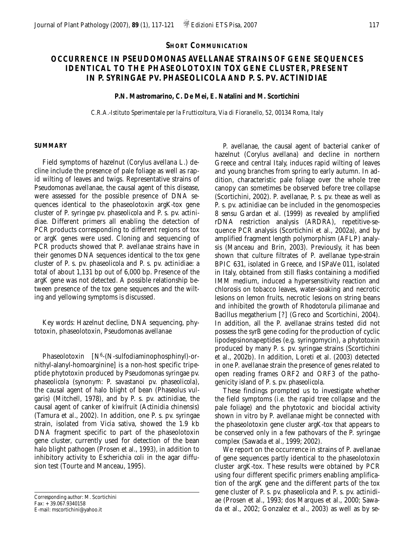## **SHORT COMMUNICATION**

# **OCCURRENCE IN** *PSEUDOMONAS AVELLANAE* **STRAINS OF GENE SEQUENCES IDENTICAL TO THE PHASEOLOTOXIN** *TOX* **GENE CLUSTER, PRESENT IN** *P. SYRINGAE* **PV.** *PHASEOLICOLA* **AND** *P. S.* **PV.** *ACTINIDIAE*

### **P.N. Mastromarino, C. De Mei, E. Natalini and M. Scortichini**

*C.R.A.-Istituto Sperimentale per la Frutticoltura, Via di Fioranello, 52, 00134 Roma, Italy*

#### **SUMMARY**

Field symptoms of hazelnut (*Corylus avellana* L.) decline include the presence of pale foliage as well as rapid wilting of leaves and twigs. Representative strains of *Pseudomonas avellanae*, the causal agent of this disease, were assessed for the possible presence of DNA sequences identical to the phaseolotoxin *argK-tox* gene cluster of *P. syringae* pv. *phaseolicola* and *P. s*. pv. *actinidiae*. Different primers all enabling the detection of PCR products corresponding to different regions of *tox* or *argK* genes were used. Cloning and sequencing of PCR products showed that *P. avellanae* strains have in their genomes DNA sequences identical to the *tox* gene cluster of *P. s*. pv. *phaseolicola* and *P. s.* pv. *actinidiae*: a total of about 1,131 bp out of 6,000 bp. Presence of the *argK* gene was not detected. A possible relationship between presence of the *tox* gene sequences and the wilting and yellowing symptoms is discussed.

*Key words*: Hazelnut decline, DNA sequencing, phytotoxin, phaseolotoxin*, Pseudomonas avellanae*

Phaseolotoxin  $[N^6-(N-sulfodiaminophosphiny])$ -ornithyl-alanyl-homoarginine] is a non-host specific tripeptide phytotoxin produced by *Pseudomonas syringae* pv. *phaseolicola* (synonym: *P. savastanoi* pv. *phaseolicola*), the causal agent of halo blight of bean (*Phaseolus vulgaris*) (Mitchell, 1978), and by *P. s*. pv. *actinidiae*, the causal agent of canker of kiwifruit (*Actinidia chinensis*) (Tamura *et al*., 2002). In addition, one *P. s.* pv. *syringae* strain, isolated from *Vicia sativa*, showed the 1.9 kb DNA fragment specific to part of the phaseolotoxin gene cluster, currently used for detection of the bean halo blight pathogen (Prosen *et al*., 1993), in addition to inhibitory activity to *Escherichia coli* in the agar diffusion test (Tourte and Manceau, 1995).

*P. avellanae*, the causal agent of bacterial canker of hazelnut (*Corylus avellana*) and decline in northern Greece and central Italy, induces rapid wilting of leaves and young branches from spring to early autumn. In addition, characteristic pale foliage over the whole tree canopy can sometimes be observed before tree collapse (Scortichini, 2002). *P. avellanae*, *P. s.* pv. *theae* as well as *P. s.* pv. *actinidiae* can be included in the genomospecies 8 *sensu* Gardan *et al.* (1999) as revealed by amplified rDNA restriction analysis (ARDRA), repetitive-sequence PCR analysis (Scortichini *et al.*, 2002a), and by amplified fragment length polymorphism (AFLP) analysis (Manceau and Brin, 2003). Previously, it has been shown that culture filtrates of *P. avellanae* type-strain BPIC 631, isolated in Greece, and ISPaVe 011, isolated in Italy, obtained from still flasks containing a modified IMM medium, induced a hypersensitivity reaction and chlorosis on tobacco leaves, water-soaking and necrotic lesions on lemon fruits, necrotic lesions on string beans and inhibited the growth of *Rhodotorula pilimanae* and *Bacillus megatherium* [?] (Greco and Scortichini, 2004). In addition, all the *P. avellanae* strains tested did not possess the *syrB* gene coding for the production of cyclic lipodepsinonapeptides (e.g. syringomycin), a phytotoxin produced by many *P. s*. pv. *syringae* strains (Scortichini *et al*., 2002b). In addition, Loreti *et al.* (2003) detected in one *P. avellanae* strain the presence of genes related to open reading frames ORF2 and ORF3 of the pathogenicity island of *P. s*. pv. *phaseolicola.*

These findings prompted us to investigate whether the field symptoms (i.e. the rapid tree collapse and the pale foliage) and the phytotoxic and biocidal activity shown *in vitro* by *P. avellanae* might be connected with the phaseolotoxin gene cluster *argK-tox* that appears to be conserved only in a few pathovars of the *P. syringae* complex (Sawada *et al*., 1999; 2002).

We report on the occurrence in strains of *P. avellanae* of gene sequences partly identical to the phaseolotoxin cluster *argK-tox.* These results were obtained by PCR using four different specific primers enabling amplification of the *argK* gene and the different parts of the *tox* gene cluster of *P. s*. pv. *phaseolicola* and *P. s*. pv. *actinidiae* (Prosen *et al*., 1993; dos Marques *et al*., 2000; Sawada *et al*., 2002; Gonzalez *et al*., 2003) as well as by se-

*Corresponding author*: M. Scortichini Fax: + 39.067.9340158 E-mail: mscortichini@yahoo.it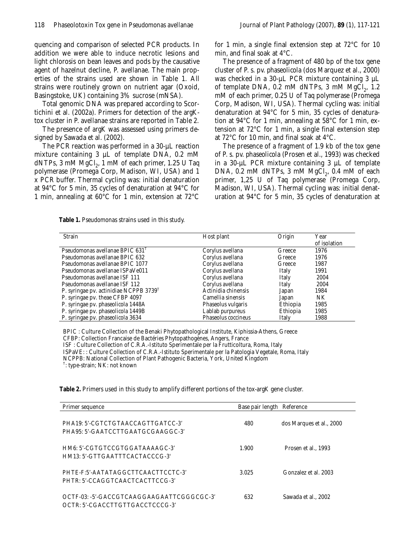quencing and comparison of selected PCR products. In addition we were able to induce necrotic lesions and light chlorosis on bean leaves and pods by the causative agent of hazelnut decline, *P. avellanae*. The main properties of the strains used are shown in Table 1. All strains were routinely grown on nutrient agar (Oxoid, Basingstoke, UK) containing 3% sucrose (mNSA).

Total genomic DNA was prepared according to Scortichini *et al.* (2002a). Primers for detection of the *argKtox* cluster in *P. avellanae* strains are reported in Table 2.

The presence of *argK* was assessed using primers designed by Sawada *et al*. (2002).

The PCR reaction was performed in a 30-µL reaction mixture containing 3  $\mu$ L of template DNA, 0.2 mM dNTPs, 3 mM MgCl<sub>2</sub>, 1 mM of each primer, 1.25 U *Taq* polymerase (Promega Corp, Madison, WI, USA) and 1 x PCR buffer. Thermal cycling was: initial denaturation at 94°C for 5 min, 35 cycles of denaturation at 94°C for 1 min, annealing at 60°C for 1 min, extension at 72°C for 1 min, a single final extension step at 72°C for 10 min, and final soak at 4°C.

The presence of a fragment of 480 bp of the *tox* gene cluster of *P. s*. pv. *phaseolicola* (dos Marquez *et al*., 2000) was checked in a  $30$ -µL PCR mixture containing 3 µL of template DNA,  $0.2 \text{ mM dNTPs}$ , 3 mM MgCl<sub>2</sub>, 1.2 mM of each primer, 0.25 U of *Taq* polymerase (Promega Corp, Madison, WI, USA). Thermal cycling was: initial denaturation at 94°C for 5 min, 35 cycles of denaturation at 94°C for 1 min, annealing at 58°C for 1 min, extension at 72°C for 1 min, a single final extension step at 72°C for 10 min, and final soak at 4°C.

The presence of a fragment of 1.9 kb of the *tox* gene of *P. s*. pv. *phaseolicola* (Prosen *et al*., 1993) was checked in a 30-µL PCR mixture containing 3 µL of template DNA,  $0.2$  mM dNTPs,  $3$  mM MgCl<sub>2</sub>,  $0.4$  mM of each primer, 1,25 U of *Taq* polymerase (Promega Corp, Madison, WI, USA). Thermal cycling was: initial denaturation at 94°C for 5 min, 35 cycles of denaturation at

|  | Table 1. Pseudomonas strains used in this study. |  |  |  |
|--|--------------------------------------------------|--|--|--|
|--|--------------------------------------------------|--|--|--|

| Strain                                                | Host plant          | Origin   | Year         |
|-------------------------------------------------------|---------------------|----------|--------------|
|                                                       |                     |          | of isolation |
| Pseudomonas avellanae BPIC 631 <sup>T</sup>           | Corylus avellana    | Greece   | 1976         |
| Pseudomonas avellanae BPIC 632                        | Corylus avellana    | Greece   | 1976         |
| Pseudomonas avellanae BPIC 1077                       | Corylus avellana    | Greece   | 1987         |
| <i>Pseudomonas avellanae</i> ISPaVe011                | Corylus avellana    | Italy    | 1991         |
| Pseudomonas avellanae ISF 111                         | Corylus avellana    | Italy    | 2004         |
| <i>Pseudomonas avellanae</i> ISF 112                  | Corylus avellana    | Italy    | 2004         |
| P. syringae pv. actinidiae NCPPB 3739 $^{\mathrm{T}}$ | Actinidia chinensis | Japan    | 1984         |
| P. syringae pv. theae CFBP 4097                       | Camellia sinensis   | Japan    | NK.          |
| P. syringae pv. phaseolicola 1448A                    | Phaseolus vulgaris  | Ethiopia | 1985         |
| P. syringae pv. phaseolicola 1449B                    | Lablab purpureus    | Ethiopia | 1985         |
| P. syringae pv. phaseolicola 3634                     | Phaseolus coccineus | Italy    | 1988         |

BPIC : Culture Collection of the Benaki Phytopathological Institute, Kiphissia-Athens, Greece CFBP: Collection Francaise de Bactéries Phytopathogènes, Angers, France ISF : Culture Collection of C.R.A.-Istituto Sperimentale per la Frutticoltura, Roma, Italy ISPaVE: : Culture Collection of C.R.A.-Istituto Sperimentale per la Patologia Vegetale, Roma, Italy NCPPB: National Collection of Plant Pathogenic Bacteria, York, United Kingdom <sup>T</sup>: type-strain; NK: not known

| Primer sequence                                                              | Base pair length Reference |                                  |
|------------------------------------------------------------------------------|----------------------------|----------------------------------|
| PHA19: 5'-CGTCTGTAACCAGTTGATCC-3'<br>PHA95: 5'-GAATCCTTGAATGCGAAGGC-3'       | 480                        | dos Marques <i>et al.</i> , 2000 |
| HM6: 5'-CGTGTCCGTGGATAAAAGC-3'<br>HM13: 5'-GTTGAATTTCACTACCCC-3'             | 1.900                      | Prosen <i>et al.</i> , 1993      |
| PHTE-F:5'-AATATAGGCTTCAACTTCCTC-3'<br>PHTR: 5'-CCAGGTCAACTCACTTCCG-3'        | 3.025                      | Gonzalez et al. 2003             |
| OCTF-03: -5'-GACCGTCAAGGAAGAATTCGGGCGC-3'<br>OCTR: 5'-CGACCTTGTTGACCTCCCG-3' | 632                        | Sawada et al., 2002              |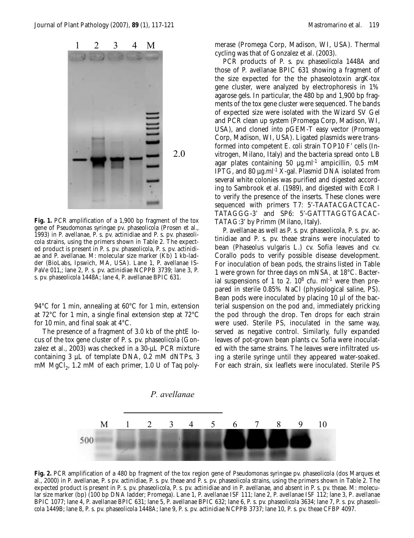

2.0

**Fig. 1.** PCR amplification of a 1,900 bp fragment of the *tox* gene of *Pseudomonas syringae* pv. *phaseolicola* (Prosen *et al*., 1993) in *P. avellanae*, *P. s.* pv. *actinidiae* and *P. s.* pv. *phaseolicola* strains, using the primers shown in Table 2. The expected product is present in *P. s.* pv. *phaseolicola*, *P. s.* pv. *actinidiae* and *P. avellanae*. M: molecular size marker (Kb) 1 kb-ladder (BioLabs, Ipswich, MA, USA). Lane 1, *P. avellanae* IS-PaVe 011,; lane 2, *P. s.* pv. *actinidiae* NCPPB 3739; lane 3, *P. s*. pv. *phaseolicola* 1448A; lane 4, *P. avellanae* BPIC 631.

94°C for 1 min, annealing at 60°C for 1 min, extension at 72°C for 1 min, a single final extension step at 72°C for 10 min, and final soak at 4°C.

The presence of a fragment of 3.0 kb of the *phtE* locus of the *tox* gene cluster of *P. s*. pv. *phaseolicola* (Gonzalez *et al*., 2003) was checked in a 30-µL PCR mixture containing 3 µL of template DNA, 0.2 mM dNTPs, 3 mM MgCl<sub>2</sub>, 1.2 mM of each primer, 1.0 U of *Taq* polymerase (Promega Corp, Madison, WI, USA). Thermal cycling was that of Gonzalez *et al*. (2003).

PCR products of *P. s.* pv. *phaseolicola* 1448A and those of *P. avellanae* BPIC 631 showing a fragment of the size expected for the the phaseolotoxin *argK-tox* gene cluster, were analyzed by electrophoresis in 1% agarose gels. In particular, the 480 bp and 1,900 bp fragments of the *tox* gene cluster were sequenced. The bands of expected size were isolated with the Wizard SV Gel and PCR clean up system (Promega Corp, Madison, WI, USA), and cloned into pGEM-T easy vector (Promega Corp, Madison, WI, USA). Ligated plasmids were transformed into competent *E. coli* strain TOP10 F' cells (Invitrogen, Milano, Italy) and the bacteria spread onto LB agar plates containing 50  $\mu$ g.ml<sup>-1</sup> ampicillin, 0.5 mM IPTG, and 80  $\mu$ g.ml<sup>-1</sup> X-gal. Plasmid DNA isolated from several white colonies was purified and digested according to Sambrook *et al.* (1989), and digested with *EcoR I* to verify the presence of the inserts. These clones were sequenced with primers T7: 5'-TAATACGACTCAC-TATAGGG-3' and SP6: 5'-GATTTAGGTGACAC-TATAG:3' by Primm (Milano, Italy).

*P. avellanae* as well as *P. s*. pv. *phaseolicola*, *P. s.* pv*. actinidiae* and *P. s.* pv. *theae* strains were inoculated to bean (*Phaseolus vulgaris* L.) cv. Sofia leaves and cv. Corallo pods to verify possible disease development. For inoculation of bean pods, the strains listed in Table 1 were grown for three days on mNSA, at 18°C. Bacterial suspensions of 1 to 2.  $10^8$  cfu. ml<sup>-1</sup> were then prepared in sterile 0.85% NaCl (physiological saline, PS). Bean pods were inoculated by placing 10 µl of the bacterial suspension on the pod and, immediately pricking the pod through the drop. Ten drops for each strain were used. Sterile PS, inoculated in the same way, served as negative control. Similarly, fully expanded leaves of pot-grown bean plants cv. Sofia were inoculated with the same strains. The leaves were infiltrated using a sterile syringe until they appeared water-soaked. For each strain, six leaflets were inoculated. Sterile PS



**Fig. 2.** PCR amplification of a 480 bp fragment of the *tox* region gene of *Pseudomonas syringae* pv. *phaseolicola* (dos Marques *et al*., 2000) in *P. avellanae*, *P. s* pv. *actinidiae*, *P. s.* pv. *theae* and *P. s.* pv. *phaseolicola* strains, using the primers shown in Table 2. The expected product is present in *P. s.* pv. *phaseolicola*, *P. s.* pv. *actinidiae* and in *P. avellanae*, and absent in *P. s.* pv. *theae*. M: molecular size marker (bp) (100 bp DNA ladder; Promega). Lane 1, *P. avellanae* ISF 111; lane 2, *P. avellanae* ISF 112; lane 3, *P*. *avellanae* BPIC 1077; lane 4, *P. avellanae* BPIC 631; lane 5, *P. avellanae* BPIC 632; lane 6, *P. s*. pv. *phaseolicola* 3634; lane 7, *P. s*. pv. *phaseolicola* 1449B; lane 8, *P. s*. pv. *phaseolicola* 1448A; lane 9, *P. s.* pv. *actinidiae* NCPPB 3737; lane 10, *P. s.* pv. *theae* CFBP 4097.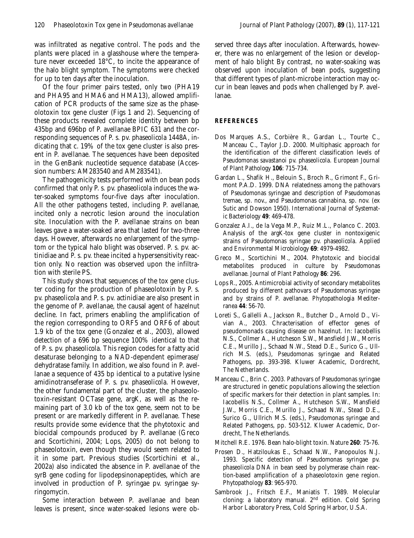was infiltrated as negative control. The pods and the plants were placed in a glasshouse where the temperature never exceeded 18°C, to incite the appearance of the halo blight symptom. The symptoms were checked for up to ten days after the inoculation.

Of the four primer pairs tested, only two (PHA19 and PHA95 and HMA6 and HMA13), allowed amplification of PCR products of the same size as the phaseolotoxin *tox* gene cluster (Figs 1 and 2). Sequencing of these products revealed complete identity between bp 435bp and 696bp of *P. avellanae* BPIC 631 and the corresponding sequences of *P. s.* pv. *phaseolicola* 1448A, indicating that c. 19% of the *tox* gene cluster is also present in *P. avellanae*. The sequences have been deposited in the GenBank nucleotide sequence database (Accession numbers: AM283540 and AM283541).

The pathogenicity tests performed with on bean pods confirmed that only *P. s.* pv. *phaseolicola* induces the water-soaked symptoms four-five days after inoculation. All the other pathogens tested, including *P. avellanae*, incited only a necrotic lesion around the inoculation site. Inoculation with the *P. avellanae* strains on bean leaves gave a water-soaked area that lasted for two-three days. However, afterwards no enlargement of the symptom or the typical halo blight was observed. *P. s.* pv. *actinidiae* and *P. s*. pv. *theae* incited a hypersensitivity reaction only. No reaction was observed upon the infiltration with sterile PS.

This study shows that sequences of the *tox* gene cluster coding for the production of phaseolotoxin by *P. s*. pv. *phaseolicola* and *P. s.* pv. *actinidiae* are also present in the genome of *P. avellanae*, the causal agent of hazelnut decline. In fact, primers enabling the amplification of the region corresponding to ORF5 and ORF6 of about 1.9 kb of the *tox* gene (Gonzalez *et al*., 2003), allowed detection of a 696 bp sequence 100% identical to that of *P. s.* pv. *phaseolicola*. This region codes for a fatty acid desaturase belonging to a NAD-dependent epimerase/ dehydratase family. In addition, we also found in *P. avellanae* a sequence of 435 bp identical to a putative lysine amidinotranseferase of *P. s.* pv. *phaseolicola*. However, the other fundamental part of the cluster, the phaseolotoxin-resistant OCTase gene, *argK*, as well as the remaining part of 3.0 kb of the *tox* gene, seem not to be present or are markedly different in *P. avellanae.* These results provide some evidence that the phytotoxic and biocidal compounds produced by *P. avellanae* (Greco and Scortichini, 2004; Lops, 2005) do not belong to phaseolotoxin, even though they would seem related to it in some part. Previous studies (Scortichini *et al*., 2002a) also indicated the absence in *P. avellanae* of the *syrB* gene coding for lipodepsinonapeptides, which are involved in production of *P. syringae* pv. *syringae* syringomycin.

Some interaction between *P. avellanae* and bean leaves is present, since water-soaked lesions were observed three days after inoculation. Afterwards, however, there was no enlargement of the lesion or development of halo blight By contrast, no water-soaking was observed upon inoculation of bean pods, suggesting that different types of plant-microbe interaction may occur in bean leaves and pods when challenged by *P. avellanae*.

### **REFERENCES**

- Dos Marques A.S., Corbière R., Gardan L., Tourte C., Manceau C., Taylor J.D. 2000. Multiphasic approach for the identification of the different classification levels of *Pseudomonas savastanoi* pv. *phaseolicola. European Journal of Plant Pathology* **106**: 715-734.
- Gardan L., Shafik H., Belouin S., Broch R., Grimont F., Grimont P.A.D. 1999. DNA relatedness among the pathovars of *Pseudomonas syringae* and description of *Pseudomonas tremae*, sp. nov., and *Pseudomonas cannabina*, sp. nov. (*ex* Sutic and Dowson 1950). *International Journal of Systematic Bacteriology* **49**: 469-478.
- Gonzalez A.I., de la Vega M.P., Ruiz M.L., Polanco C. 2003. Analysis of the *argK-tox* gene cluster in nontoxigenic strains of *Pseudomonas syringae* pv. *phaseolicola. Applied and Environmental Microbiology* **69**: 4979-4982.
- Greco M., Scortichini M., 2004. Phytotoxic and biocidal metabolites produced in culture by *Pseudomonas avellanae*. *Journal of Plant Pathology* **86**: 296.
- Lops R., 2005. Antimicrobial activity of secondary metabolites produced by different pathovars of *Pseudomonas syringae* and by strains of *P. avellanae. Phytopathologia Mediterranea* **44**: 56-70.
- Loreti S., Gallelli A., Jackson R., Butcher D., Arnold D., Vivian A., 2003. Chracterisation of effector genes of pseudomonads causing disease on hazelnut. In: Iacobellis N.S., Collmer A., Hutcheson S.W., Mansfield J.W., Morris C.E., Murillo J., Schaad N.W., Stead D.E., Surico G., Ullrich M.S. (eds.), *Pseudomonas syringae* and Related Pathogens, pp. 393-398. Kluwer Academic, Dordrecht, The Netherlands.
- Manceau C., Brin C. 2003. Pathovars of *Pseudomonas syringae* are structured in genetic populations allowing the selection of specific markers for their detection in plant samples. In: Iacobellis N.S., Collmer A., Hutcheson S.W., Mansfield J.W., Morris C.E., Murillo J., Schaad N.W., Stead D.E., Surico G., Ullrich M.S. (eds.), *Pseudomonas syringae* and Related Pathogens, pp. 503-512. Kluwer Academic, Dordrecht, The Netherlands.
- Mitchell R.E. 1976. Bean halo-blight toxin. *Nature* **260**: 75-76.
- Prosen D., Hatziloukas E., Schaad N.W., Panopoulos N.J. 1993. Specific detection of *Pseudomonas syringae* pv. *phaseolicola* DNA in bean seed by polymerase chain reaction-based amplification of a phaseolotoxin gene region. *Phytopathology* **83**: 965-970.
- Sambrook J., Fritsch E.F., Maniatis T. 1989. Molecular cloning: a laboratory manual.  $2<sup>nd</sup>$  edition. Cold Spring Harbor Laboratory Press, Cold Spring Harbor, U.S.A.